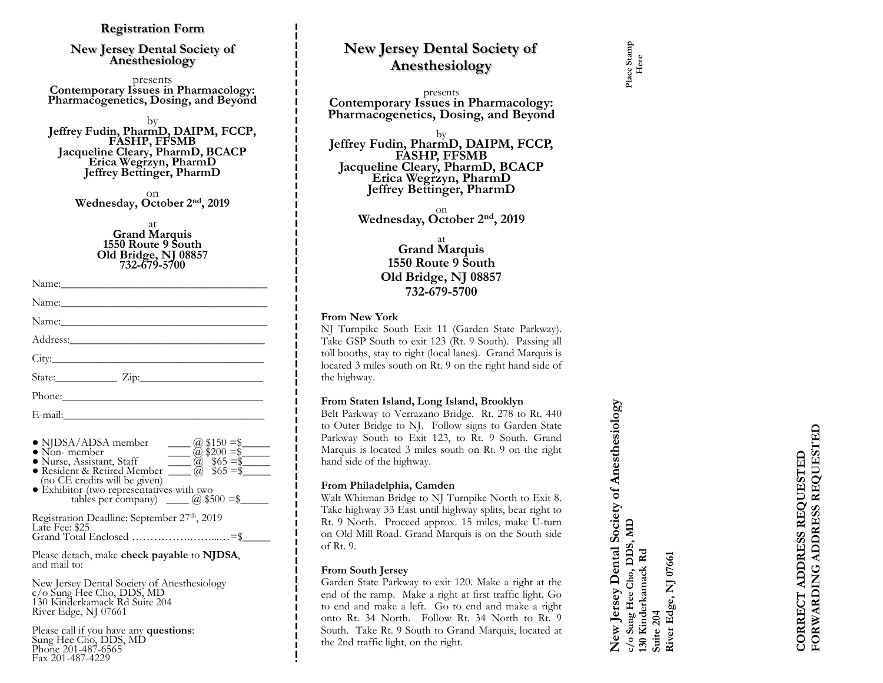# **Registration Form**

### **New Jersey Dental Society of Anesthesiology**

presents **Contemporary Issues in Pharmacology: Pharmacogenetics, Dosing, and Beyond**

by **Jeffrey Fudin, PharmD, DAIPM, FCCP, FASHP, FFSMB Jacqueline Cleary, PharmD, BCACP Erica Wegrzyn, PharmD Jeffrey Bettinger, PharmD**

> on **Wednesday, October 2nd, 2019**

> > at **Grand Marquis 1550 Route 9 South Old Bridge, NJ 08857 732 -679 -5700**

| Phone: 2000 Phone: 2000 Phone: 2000 Phone: 2000 Phone: 2000 Phone: 2000 Phone: 2000 Phone: 2000 Phone: 2000 Phone: 2000 Phone: 2000 Phone: 2000 Phone: 2000 Phone: 2000 Phone: 2000 Phone: 2000 Phone: 2000 Phone: 2000 Phone: |  |  |
|--------------------------------------------------------------------------------------------------------------------------------------------------------------------------------------------------------------------------------|--|--|
|                                                                                                                                                                                                                                |  |  |

| • NJDSA/ADSA member<br>$\omega$ \$150 =\$<br>$\bullet$ Non-member<br>$@$ \$200 = \$<br>· Nurse, Assistant, Staff<br>$\frac{$65 = $}{$65 = $}$<br>· Resident & Retired Member<br>(no CE credits will be given)<br>• Exhibitor (two representatives with two<br>tables per company) $\qquad \qquad$ \$500 = \$ |
|--------------------------------------------------------------------------------------------------------------------------------------------------------------------------------------------------------------------------------------------------------------------------------------------------------------|
| Registration Deadline: September 27th, 2019                                                                                                                                                                                                                                                                  |
| Late Fee: \$25                                                                                                                                                                                                                                                                                               |

Grand Total Enclosed ……………………………=\$

Please detach, make **check payable** to **NJDSA** , and mail to:

New Jersey Dental Society of Anesthesiology c/o Sung Hee Cho, DDS, MD 130 Kinderkamack Rd Suite 204 River Edge, NJ 07661

Please call if you have any **questions** : Sung Hee Cho, DDS, MD Phone 201-487-6565 Fax 201 -487 -4229

# **New Jersey Dental Society of Anesthesiology**

presents **Contemporary Issues in Pharmacology: Pharmacogenetics, Dosing, and Beyond**

by **Jeffrey Fudin, PharmD, DAIPM, FCCP, FASHP, FFSMB Jacqueline Cleary, PharmD, BCACP Erica Wegrzyn, PharmD Jeffrey Bettinger, PharmD**

on **Wednesday, October 2nd, 2019**

# at **Grand Marquis 1550 Route 9 South Old Bridge, NJ 08857 732 -679 -5700**

### **From New York**

NJ Turnpike South Exit 11 (Garden State Parkway) . Take GSP South to exit 123 (Rt . 9 South) . Passing all toll booths, stay to right (local lanes) . Grand Marquis is located 3 miles south on Rt . 9 on the right hand side of the highway .

### **From Staten Island, Long Island, Brooklyn**

Belt Parkway to Verrazano Bridge . Rt . 278 to Rt . 440 to Outer Bridge to NJ . Follow signs to Garden State Parkway South to Exit 123, to Rt. 9 South. Grand Marquis is located 3 miles south on Rt . 9 on the right hand side of the highway .

### **From Philadelphia, Camden**

Walt Whitman Bridge to NJ Turnpike North to Exit 8. Take highway 33 East until highway splits, bear right to Rt. 9 North. Proceed approx. 15 miles, make U-turn on Old Mill Road . Grand Marquis is on the South side of Rt . 9 .

# **From South Jersey**

Garden State Parkway to exit 120 . Make a right at the end of the ramp . Make a right at first traffic light . Go to end and make a left . Go to end and make a right onto Rt . 34 North . Follow Rt . 34 North to Rt . 9 South . Take Rt . 9 South to Grand Marquis, located at the 2nd traffic light, on the right .

**New Jersey Dental Society of Anesthesiology**  New Jersey Dental Society of Anesthesiology c/o Sung Hee Cho, DDS, MD<br>130 Kinderkamack Rd **c/o Sung Hee Cho, DDS, MD 130 Kinderkamack Rd**  Suite 204<br>River Edge, NJ 07661

**River Edge, NJ 07661**

FORWARDING ADDRESS REQUESTED **FORWARDING ADDRESS REQUESTED** CORRECT ADDRESS REQUESTED **CORRECT ADDRESS REQUESTED**